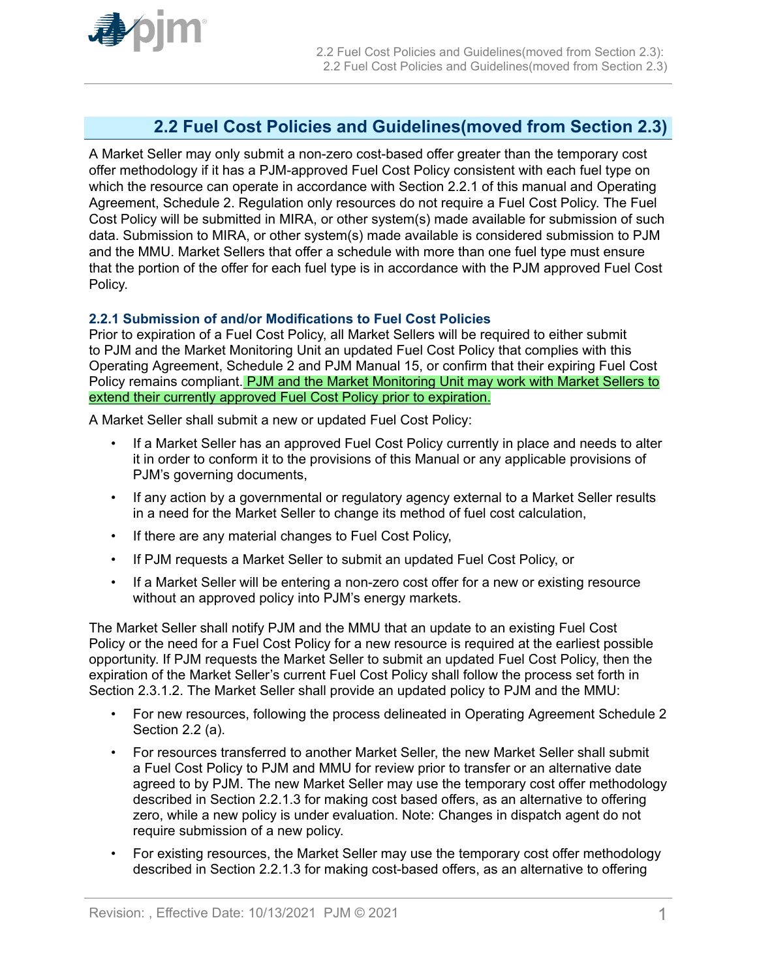

# **2.2 Fuel Cost Policies and Guidelines(moved from Section 2.3)**

A Market Seller may only submit a non-zero cost-based offer greater than the temporary cost offer methodology if it has a PJM-approved Fuel Cost Policy consistent with each fuel type on which the resource can operate in accordance with Section 2.2.1 of this manual and Operating Agreement, Schedule 2. Regulation only resources do not require a Fuel Cost Policy. The Fuel Cost Policy will be submitted in MIRA, or other system(s) made available for submission of such data. Submission to MIRA, or other system(s) made available is considered submission to PJM and the MMU. Market Sellers that offer a schedule with more than one fuel type must ensure that the portion of the offer for each fuel type is in accordance with the PJM approved Fuel Cost Policy.

## **2.2.1 Submission of and/or Modifications to Fuel Cost Policies**

Prior to expiration of a Fuel Cost Policy, all Market Sellers will be required to either submit to PJM and the Market Monitoring Unit an updated Fuel Cost Policy that complies with this Operating Agreement, Schedule 2 and PJM Manual 15, or confirm that their expiring Fuel Cost Policy remains compliant. PJM and the Market Monitoring Unit may work with Market Sellers to extend their currently approved Fuel Cost Policy prior to expiration.

A Market Seller shall submit a new or updated Fuel Cost Policy:

- If a Market Seller has an approved Fuel Cost Policy currently in place and needs to alter it in order to conform it to the provisions of this Manual or any applicable provisions of PJM's governing documents,
- If any action by a governmental or regulatory agency external to a Market Seller results in a need for the Market Seller to change its method of fuel cost calculation,
- If there are any material changes to Fuel Cost Policy,
- If PJM requests a Market Seller to submit an updated Fuel Cost Policy, or
- If a Market Seller will be entering a non-zero cost offer for a new or existing resource without an approved policy into PJM's energy markets.

The Market Seller shall notify PJM and the MMU that an update to an existing Fuel Cost Policy or the need for a Fuel Cost Policy for a new resource is required at the earliest possible opportunity. If PJM requests the Market Seller to submit an updated Fuel Cost Policy, then the expiration of the Market Seller's current Fuel Cost Policy shall follow the process set forth in Section 2.3.1.2. The Market Seller shall provide an updated policy to PJM and the MMU:

- For new resources, following the process delineated in Operating Agreement Schedule 2 Section 2.2 (a).
- For resources transferred to another Market Seller, the new Market Seller shall submit a Fuel Cost Policy to PJM and MMU for review prior to transfer or an alternative date agreed to by PJM. The new Market Seller may use the temporary cost offer methodology described in Section 2.2.1.3 for making cost based offers, as an alternative to offering zero, while a new policy is under evaluation. Note: Changes in dispatch agent do not require submission of a new policy.
- For existing resources, the Market Seller may use the temporary cost offer methodology described in Section 2.2.1.3 for making cost-based offers, as an alternative to offering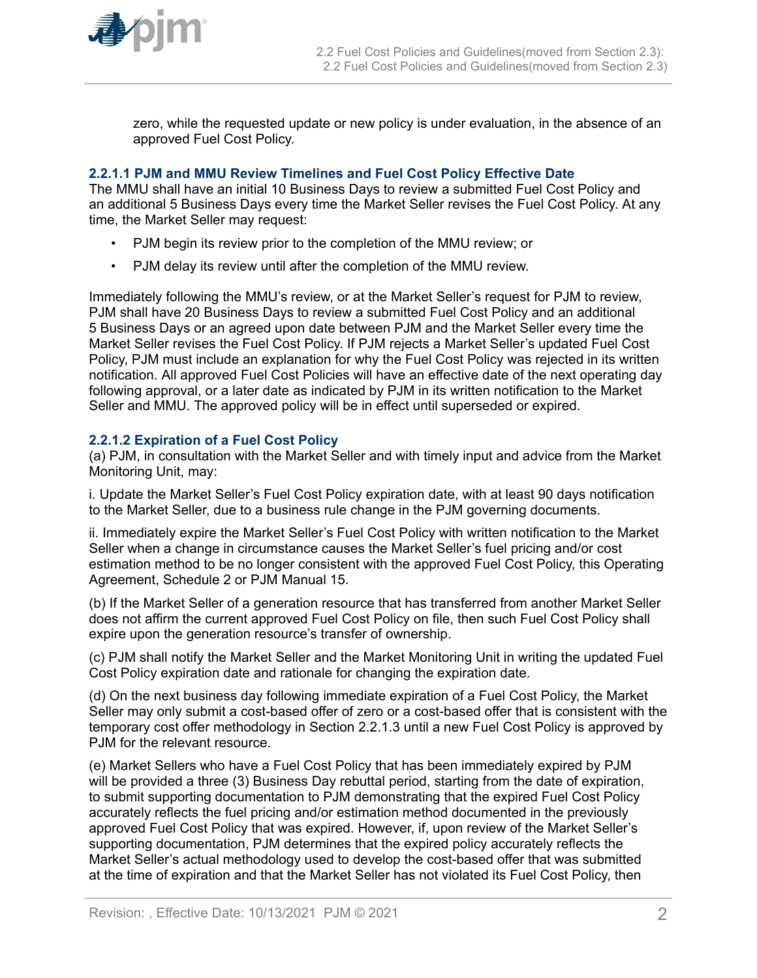

zero, while the requested update or new policy is under evaluation, in the absence of an approved Fuel Cost Policy.

## **2.2.1.1 PJM and MMU Review Timelines and Fuel Cost Policy Effective Date**

The MMU shall have an initial 10 Business Days to review a submitted Fuel Cost Policy and an additional 5 Business Days every time the Market Seller revises the Fuel Cost Policy. At any time, the Market Seller may request:

- PJM begin its review prior to the completion of the MMU review; or
- PJM delay its review until after the completion of the MMU review.

Immediately following the MMU's review, or at the Market Seller's request for PJM to review, PJM shall have 20 Business Days to review a submitted Fuel Cost Policy and an additional 5 Business Days or an agreed upon date between PJM and the Market Seller every time the Market Seller revises the Fuel Cost Policy. If PJM rejects a Market Seller's updated Fuel Cost Policy, PJM must include an explanation for why the Fuel Cost Policy was rejected in its written notification. All approved Fuel Cost Policies will have an effective date of the next operating day following approval, or a later date as indicated by PJM in its written notification to the Market Seller and MMU. The approved policy will be in effect until superseded or expired.

## **2.2.1.2 Expiration of a Fuel Cost Policy**

(a) PJM, in consultation with the Market Seller and with timely input and advice from the Market Monitoring Unit, may:

i. Update the Market Seller's Fuel Cost Policy expiration date, with at least 90 days notification to the Market Seller, due to a business rule change in the PJM governing documents.

ii. Immediately expire the Market Seller's Fuel Cost Policy with written notification to the Market Seller when a change in circumstance causes the Market Seller's fuel pricing and/or cost estimation method to be no longer consistent with the approved Fuel Cost Policy, this Operating Agreement, Schedule 2 or PJM Manual 15.

(b) If the Market Seller of a generation resource that has transferred from another Market Seller does not affirm the current approved Fuel Cost Policy on file, then such Fuel Cost Policy shall expire upon the generation resource's transfer of ownership.

(c) PJM shall notify the Market Seller and the Market Monitoring Unit in writing the updated Fuel Cost Policy expiration date and rationale for changing the expiration date.

(d) On the next business day following immediate expiration of a Fuel Cost Policy, the Market Seller may only submit a cost-based offer of zero or a cost-based offer that is consistent with the temporary cost offer methodology in Section 2.2.1.3 until a new Fuel Cost Policy is approved by PJM for the relevant resource.

(e) Market Sellers who have a Fuel Cost Policy that has been immediately expired by PJM will be provided a three (3) Business Day rebuttal period, starting from the date of expiration, to submit supporting documentation to PJM demonstrating that the expired Fuel Cost Policy accurately reflects the fuel pricing and/or estimation method documented in the previously approved Fuel Cost Policy that was expired. However, if, upon review of the Market Seller's supporting documentation, PJM determines that the expired policy accurately reflects the Market Seller's actual methodology used to develop the cost-based offer that was submitted at the time of expiration and that the Market Seller has not violated its Fuel Cost Policy, then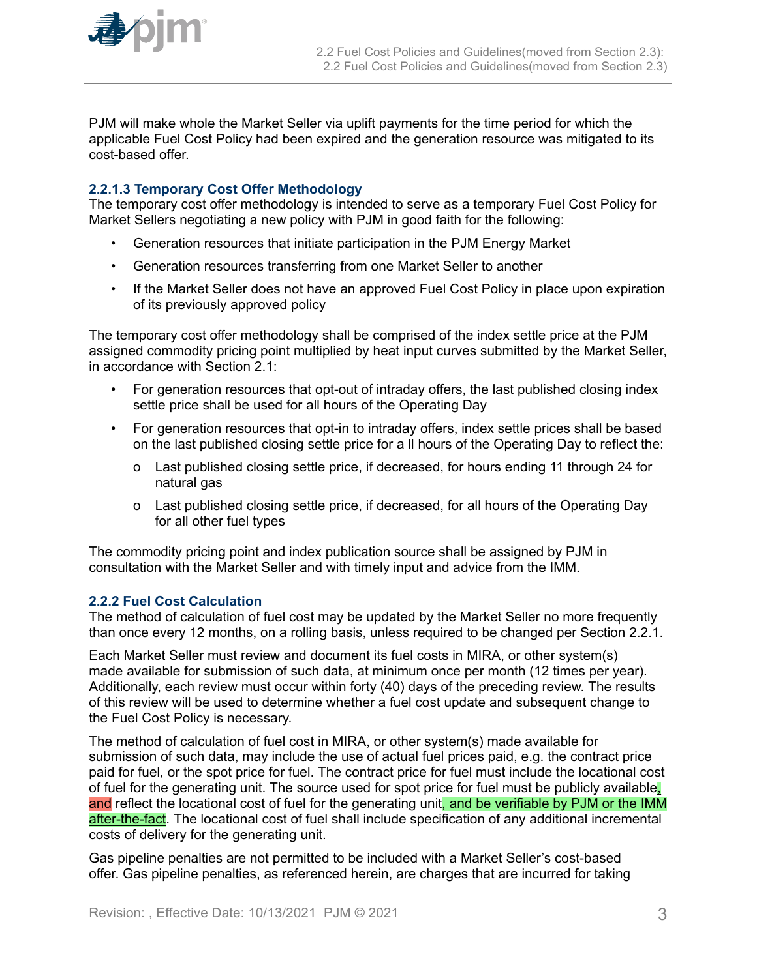

PJM will make whole the Market Seller via uplift payments for the time period for which the applicable Fuel Cost Policy had been expired and the generation resource was mitigated to its cost-based offer.

# **2.2.1.3 Temporary Cost Offer Methodology**

The temporary cost offer methodology is intended to serve as a temporary Fuel Cost Policy for Market Sellers negotiating a new policy with PJM in good faith for the following:

- Generation resources that initiate participation in the PJM Energy Market
- Generation resources transferring from one Market Seller to another
- If the Market Seller does not have an approved Fuel Cost Policy in place upon expiration of its previously approved policy

The temporary cost offer methodology shall be comprised of the index settle price at the PJM assigned commodity pricing point multiplied by heat input curves submitted by the Market Seller, in accordance with Section 2.1:

- For generation resources that opt-out of intraday offers, the last published closing index settle price shall be used for all hours of the Operating Day
- For generation resources that opt-in to intraday offers, index settle prices shall be based on the last published closing settle price for a ll hours of the Operating Day to reflect the:
	- o Last published closing settle price, if decreased, for hours ending 11 through 24 for natural gas
	- o Last published closing settle price, if decreased, for all hours of the Operating Day for all other fuel types

The commodity pricing point and index publication source shall be assigned by PJM in consultation with the Market Seller and with timely input and advice from the IMM.

## **2.2.2 Fuel Cost Calculation**

The method of calculation of fuel cost may be updated by the Market Seller no more frequently than once every 12 months, on a rolling basis, unless required to be changed per Section 2.2.1.

Each Market Seller must review and document its fuel costs in MIRA, or other system(s) made available for submission of such data, at minimum once per month (12 times per year). Additionally, each review must occur within forty (40) days of the preceding review. The results of this review will be used to determine whether a fuel cost update and subsequent change to the Fuel Cost Policy is necessary.

The method of calculation of fuel cost in MIRA, or other system(s) made available for submission of such data, may include the use of actual fuel prices paid, e.g. the contract price paid for fuel, or the spot price for fuel. The contract price for fuel must include the locational cost of fuel for the generating unit. The source used for spot price for fuel must be publicly available, and reflect the locational cost of fuel for the generating unit, and be verifiable by PJM or the IMM after-the-fact. The locational cost of fuel shall include specification of any additional incremental costs of delivery for the generating unit.

Gas pipeline penalties are not permitted to be included with a Market Seller's cost-based offer. Gas pipeline penalties, as referenced herein, are charges that are incurred for taking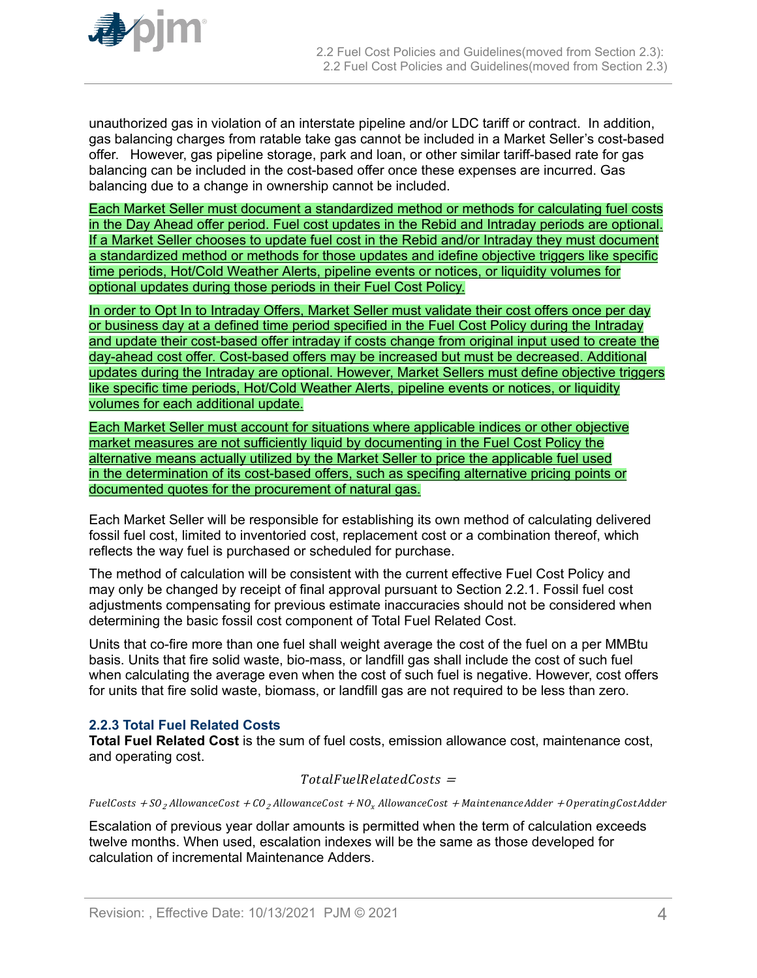unauthorized gas in violation of an interstate pipeline and/or LDC tariff or contract. In addition, gas balancing charges from ratable take gas cannot be included in a Market Seller's cost-based offer. However, gas pipeline storage, park and loan, or other similar tariff-based rate for gas balancing can be included in the cost-based offer once these expenses are incurred. Gas balancing due to a change in ownership cannot be included.

Each Market Seller must document a standardized method or methods for calculating fuel costs in the Day Ahead offer period. Fuel cost updates in the Rebid and Intraday periods are optional. If a Market Seller chooses to update fuel cost in the Rebid and/or Intraday they must document a standardized method or methods for those updates and idefine objective triggers like specific time periods, Hot/Cold Weather Alerts, pipeline events or notices, or liquidity volumes for optional updates during those periods in their Fuel Cost Policy.

In order to Opt In to Intraday Offers, Market Seller must validate their cost offers once per day or business day at a defined time period specified in the Fuel Cost Policy during the Intraday and update their cost-based offer intraday if costs change from original input used to create the day-ahead cost offer. Cost-based offers may be increased but must be decreased. Additional updates during the Intraday are optional. However, Market Sellers must define objective triggers like specific time periods, Hot/Cold Weather Alerts, pipeline events or notices, or liquidity volumes for each additional update.

Each Market Seller must account for situations where applicable indices or other objective market measures are not sufficiently liquid by documenting in the Fuel Cost Policy the alternative means actually utilized by the Market Seller to price the applicable fuel used in the determination of its cost-based offers, such as specifing alternative pricing points or documented quotes for the procurement of natural gas.

Each Market Seller will be responsible for establishing its own method of calculating delivered fossil fuel cost, limited to inventoried cost, replacement cost or a combination thereof, which reflects the way fuel is purchased or scheduled for purchase.

The method of calculation will be consistent with the current effective Fuel Cost Policy and may only be changed by receipt of final approval pursuant to Section 2.2.1. Fossil fuel cost adjustments compensating for previous estimate inaccuracies should not be considered when determining the basic fossil cost component of Total Fuel Related Cost.

Units that co-fire more than one fuel shall weight average the cost of the fuel on a per MMBtu basis. Units that fire solid waste, bio-mass, or landfill gas shall include the cost of such fuel when calculating the average even when the cost of such fuel is negative. However, cost offers for units that fire solid waste, biomass, or landfill gas are not required to be less than zero.

# **2.2.3 Total Fuel Related Costs**

**Total Fuel Related Cost** is the sum of fuel costs, emission allowance cost, maintenance cost, and operating cost.

## $TotalFuelRelatedCosts =$

FuelCosts  $+ S0_2$ AllowanceCost  $+ C0_2$ AllowanceCost  $+ NO_x$ AllowanceCost + MaintenanceAdder + OperatingCostAdder

Escalation of previous year dollar amounts is permitted when the term of calculation exceeds twelve months. When used, escalation indexes will be the same as those developed for calculation of incremental Maintenance Adders.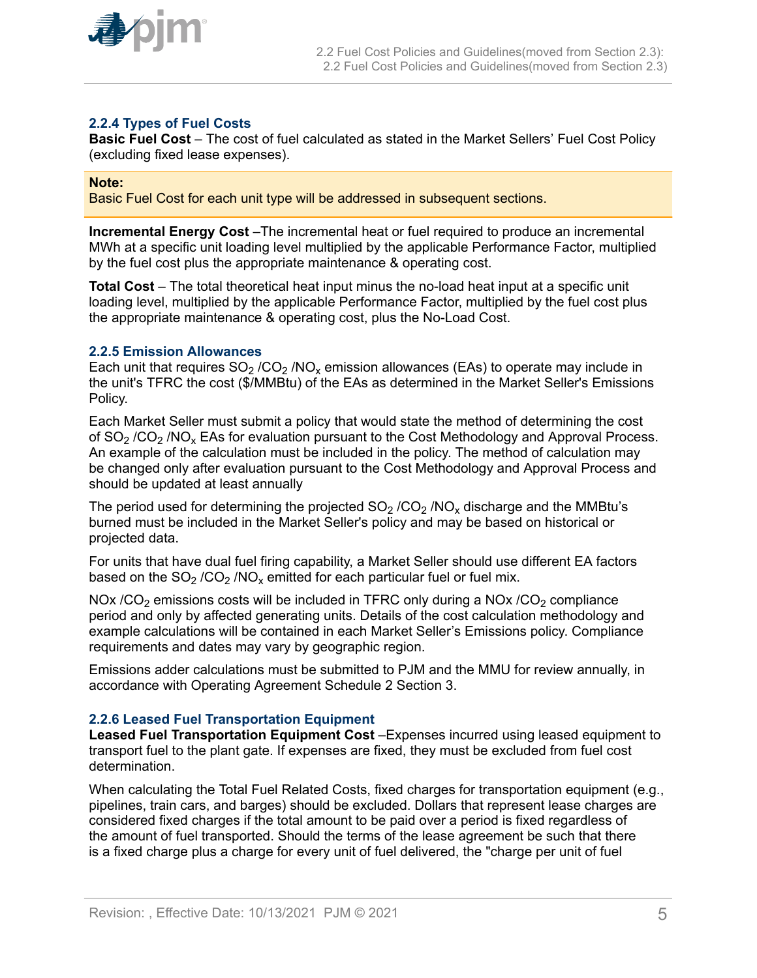

# **2.2.4 Types of Fuel Costs**

**Basic Fuel Cost** – The cost of fuel calculated as stated in the Market Sellers' Fuel Cost Policy (excluding fixed lease expenses).

#### **Note:**

Basic Fuel Cost for each unit type will be addressed in subsequent sections.

**Incremental Energy Cost** –The incremental heat or fuel required to produce an incremental MWh at a specific unit loading level multiplied by the applicable Performance Factor, multiplied by the fuel cost plus the appropriate maintenance & operating cost.

**Total Cost** – The total theoretical heat input minus the no-load heat input at a specific unit loading level, multiplied by the applicable Performance Factor, multiplied by the fuel cost plus the appropriate maintenance & operating cost, plus the No-Load Cost.

#### **2.2.5 Emission Allowances**

Each unit that requires SO $_2$  /CO $_2$  /NO $_\mathrm{x}$  emission allowances (EAs) to operate may include in the unit's TFRC the cost (\$/MMBtu) of the EAs as determined in the Market Seller's Emissions Policy.

Each Market Seller must submit a policy that would state the method of determining the cost of SO $_2$  /CO $_2$  /NO $_\mathrm{x}$  EAs for evaluation pursuant to the Cost Methodology and Approval Process. An example of the calculation must be included in the policy. The method of calculation may be changed only after evaluation pursuant to the Cost Methodology and Approval Process and should be updated at least annually

The period used for determining the projected SO $_2$  /CO $_2$  /NO $_\mathrm{\chi}$  discharge and the MMBtu's burned must be included in the Market Seller's policy and may be based on historical or projected data.

For units that have dual fuel firing capability, a Market Seller should use different EA factors based on the SO $_2$  /CO $_2$  /NO $_\mathrm{x}$  emitted for each particular fuel or fuel mix.

NOx  $/CO<sub>2</sub>$  emissions costs will be included in TFRC only during a NOx  $/CO<sub>2</sub>$  compliance period and only by affected generating units. Details of the cost calculation methodology and example calculations will be contained in each Market Seller's Emissions policy. Compliance requirements and dates may vary by geographic region.

Emissions adder calculations must be submitted to PJM and the MMU for review annually, in accordance with Operating Agreement Schedule 2 Section 3.

#### **2.2.6 Leased Fuel Transportation Equipment**

**Leased Fuel Transportation Equipment Cost** –Expenses incurred using leased equipment to transport fuel to the plant gate. If expenses are fixed, they must be excluded from fuel cost determination.

When calculating the Total Fuel Related Costs, fixed charges for transportation equipment (e.g., pipelines, train cars, and barges) should be excluded. Dollars that represent lease charges are considered fixed charges if the total amount to be paid over a period is fixed regardless of the amount of fuel transported. Should the terms of the lease agreement be such that there is a fixed charge plus a charge for every unit of fuel delivered, the "charge per unit of fuel